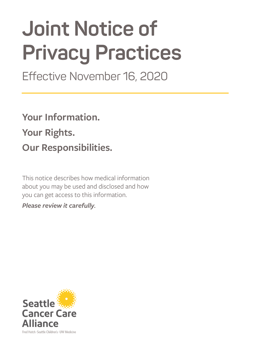# **Joint Notice of Privacy Practices**

Effective November 16, 2020

**Your Information. Your Rights. Our Responsibilities.**

This notice describes how medical information about you may be used and disclosed and how you can get access to this information.

*Please review it carefully.*



Fred Hutch · Seattle Children's · UW Medicine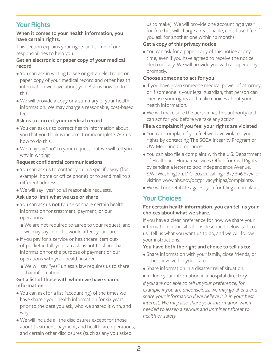# **Your Rights**

#### **When it comes to your health information, you have certain rights.**

This section explains your rights and some of our responsibilities to help you.

#### **Get an electronic or paper copy of your medical record**

- You can ask in writing to see or get an electronic or paper copy of your medical record and other health information we have about you. Ask us how to do this.
- We will provide a copy or a summary of your health information. We may charge a reasonable, cost-based fee.

# **Ask us to correct your medical record**

- You can ask us to correct health information about you that you think is incorrect or incomplete. Ask us how to do this.
- We may say "no" to your request, but we will tell you why in writing.

## **Request confidential communications**

- You can ask us to contact you in a specific way (for example, home or office phone) or to send mail to a different address.
- We will say "yes" to all reasonable requests.

#### **Ask us to limit what we use or share**

- You can ask us **not** to use or share certain health information for treatment, payment, or our operations.
	- We are not required to agree to your request, and we may say "no" if it would affect your care.
- If you pay for a service or healthcare item outof-pocket in full, you can ask us not to share that information for the purpose of payment or our operations with your health insurer.
	- We will say "yes" unless a law requires us to share that information.

#### **Get a list of those with whom we have shared information**

- You can ask for a list (accounting) of the times we have shared your health information for six years prior to the date you ask, who we shared it with, and why.
- We will include all the disclosures except for those about treatment, payment, and healthcare operations, and certain other disclosures (such as any you asked

us to make). We will provide one accounting a year for free but will charge a reasonable, cost-based fee if you ask for another one within 12 months.

## **Get a copy of this privacy notice**

• You can ask for a paper copy of this notice at any time, even if you have agreed to receive the notice electronically. We will provide you with a paper copy promptly.

#### **Choose someone to act for you**

- If you have given someone medical power of attorney or if someone is your legal guardian, that person can exercise your rights and make choices about your health information.
- We will make sure the person has this authority and can act for you before we take any action.

# **File a complaint if you feel your rights are violated**

- You can complain if you feel we have violated your rights by contacting The SCCA Integrity Program or UW Medicine Compliance.
- You can also file a complaint with the U.S. Department of Health and Human Services Office for Civil Rights by sending a letter to 200 Independence Avenue, S.W., Washington, D.C. 20201, calling 1.877.696.6775, or visiting www.hhs.gov/ocr/privacy/hipaa/complaints/.
- We will not retaliate against you for filing a complaint.

# **Your Choices**

#### **For certain health information, you can tell us your choices about what we share.**

If you have a clear preference for how we share your information in the situations described below, talk to us. Tell us what you want us to do, and we will follow your instructions.

#### **You have both the right and choice to tell us to:**

- Share information with your family, close friends, or others involved in your care.
- Share information in a disaster relief situation.
- Include your information in a hospital directory.

*If you are not able to tell us your preference, for example if you are unconscious, we may go ahead and share your information if we believe it is in your best interest. We may also share your information when needed to lessen a serious and imminent threat to health or safety.*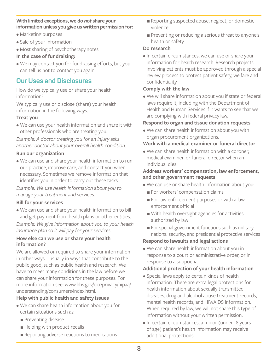#### **With limited exceptions, we do** *not* **share your information unless you give us written permission for:**

- Marketing purposes
- Sale of your information
- Most sharing of psychotherapy notes

#### **In the case of fundraising:**

• We may contact you for fundraising efforts, but you can tell us not to contact you again.

# **Our Uses and Disclosures**

How do we typically use or share your health information?

We typically use or disclose (share) your health information in the following ways.

#### **Treat you**

• We can use your health information and share it with other professionals who are treating you.

*Example: A doctor treating you for an injury asks another doctor about your overall health condition.* 

#### **Run our organization**

• We can use and share your health information to run our practice, improve care, and contact you when necessary. Sometimes we remove information that identifies you in order to carry out these tasks.

*Example: We use health information about you to manage your treatment and services.* 

#### **Bill for your services**

• We can use and share your health information to bill and get payment from health plans or other entities.

*Example: We give information about you to your health insurance plan so it will pay for your services.* 

#### **How else can we use or share your health information?**

We are allowed or required to share your information in other ways – usually in ways that contribute to the public good, such as public health and research. We have to meet many conditions in the law before we can share your information for these purposes. For more information see: www.hhs.gov/ocr/privacy/hipaa/ understanding/consumers/index.html.

#### **Help with public health and safety issues**

- We can share health information about you for certain situations such as:
	- **Preventing disease**
	- Helping with product recalls
	- **Reporting adverse reactions to medications**
- Reporting suspected abuse, neglect, or domestic violence
- Preventing or reducing a serious threat to anyone's health or safety

#### **Do research**

• In certain circumstances, we can use or share your information for health research. Research projects involving patients must be approved through a special review process to protect patient safety, welfare and confidentiality.

#### **Comply with the law**

• We will share information about you if state or federal laws require it, including with the Department of Health and Human Services if it wants to see that we are complying with federal privacy law.

#### **Respond to organ and tissue donation requests**

• We can share health information about you with organ procurement organizations.

#### **Work with a medical examiner or funeral director**

• We can share health information with a coroner, medical examiner, or funeral director when an individual dies.

#### **Address workers' compensation, law enforcement, and other government requests**

- We can use or share health information about you:
	- For workers' compensation claims
	- For law enforcement purposes or with a law enforcement official
	- With health oversight agencies for activities authorized by law
	- For special government functions such as military, national security, and presidential protective services

#### **Respond to lawsuits and legal actions**

• We can share health information about you in response to a court or administrative order, or in response to a subpoena.

#### **Additional protection of your health information**

- Special laws apply to certain kinds of health information. There are extra legal protections for health information about sexually transmitted diseases, drug and alcohol abuse treatment records, mental health records, and HIV/AIDS information. When required by law, we will not share this type of information without your written permission.
- In certain circumstances, a minor (under 18 years of age) patient's health information may receive additional protections.